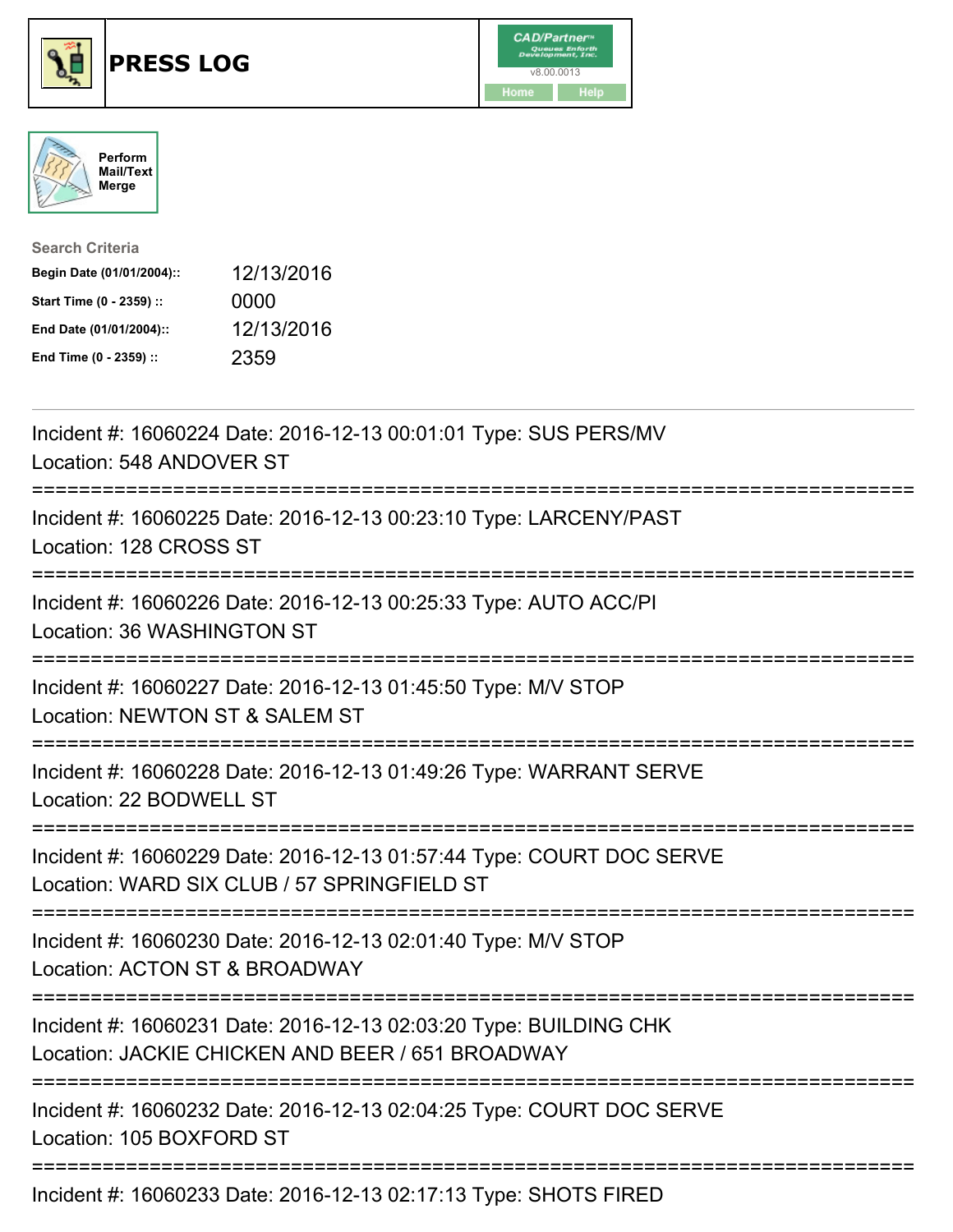





| <b>Search Criteria</b>    |            |
|---------------------------|------------|
| Begin Date (01/01/2004):: | 12/13/2016 |
| Start Time (0 - 2359) ::  | 0000       |
| End Date (01/01/2004)::   | 12/13/2016 |
| End Time (0 - 2359) ::    | 2359       |

| Incident #: 16060224 Date: 2016-12-13 00:01:01 Type: SUS PERS/MV<br>Location: 548 ANDOVER ST                             |
|--------------------------------------------------------------------------------------------------------------------------|
| Incident #: 16060225 Date: 2016-12-13 00:23:10 Type: LARCENY/PAST<br>Location: 128 CROSS ST<br>================          |
| Incident #: 16060226 Date: 2016-12-13 00:25:33 Type: AUTO ACC/PI<br>Location: 36 WASHINGTON ST<br>---------------------- |
| Incident #: 16060227 Date: 2016-12-13 01:45:50 Type: M/V STOP<br>Location: NEWTON ST & SALEM ST                          |
| Incident #: 16060228 Date: 2016-12-13 01:49:26 Type: WARRANT SERVE<br>Location: 22 BODWELL ST                            |
| Incident #: 16060229 Date: 2016-12-13 01:57:44 Type: COURT DOC SERVE<br>Location: WARD SIX CLUB / 57 SPRINGFIELD ST      |
| Incident #: 16060230 Date: 2016-12-13 02:01:40 Type: M/V STOP<br>Location: ACTON ST & BROADWAY                           |
| Incident #: 16060231 Date: 2016-12-13 02:03:20 Type: BUILDING CHK<br>Location: JACKIE CHICKEN AND BEER / 651 BROADWAY    |
| Incident #: 16060232 Date: 2016-12-13 02:04:25 Type: COURT DOC SERVE<br>Location: 105 BOXFORD ST                         |
|                                                                                                                          |

Incident #: 16060233 Date: 2016-12-13 02:17:13 Type: SHOTS FIRED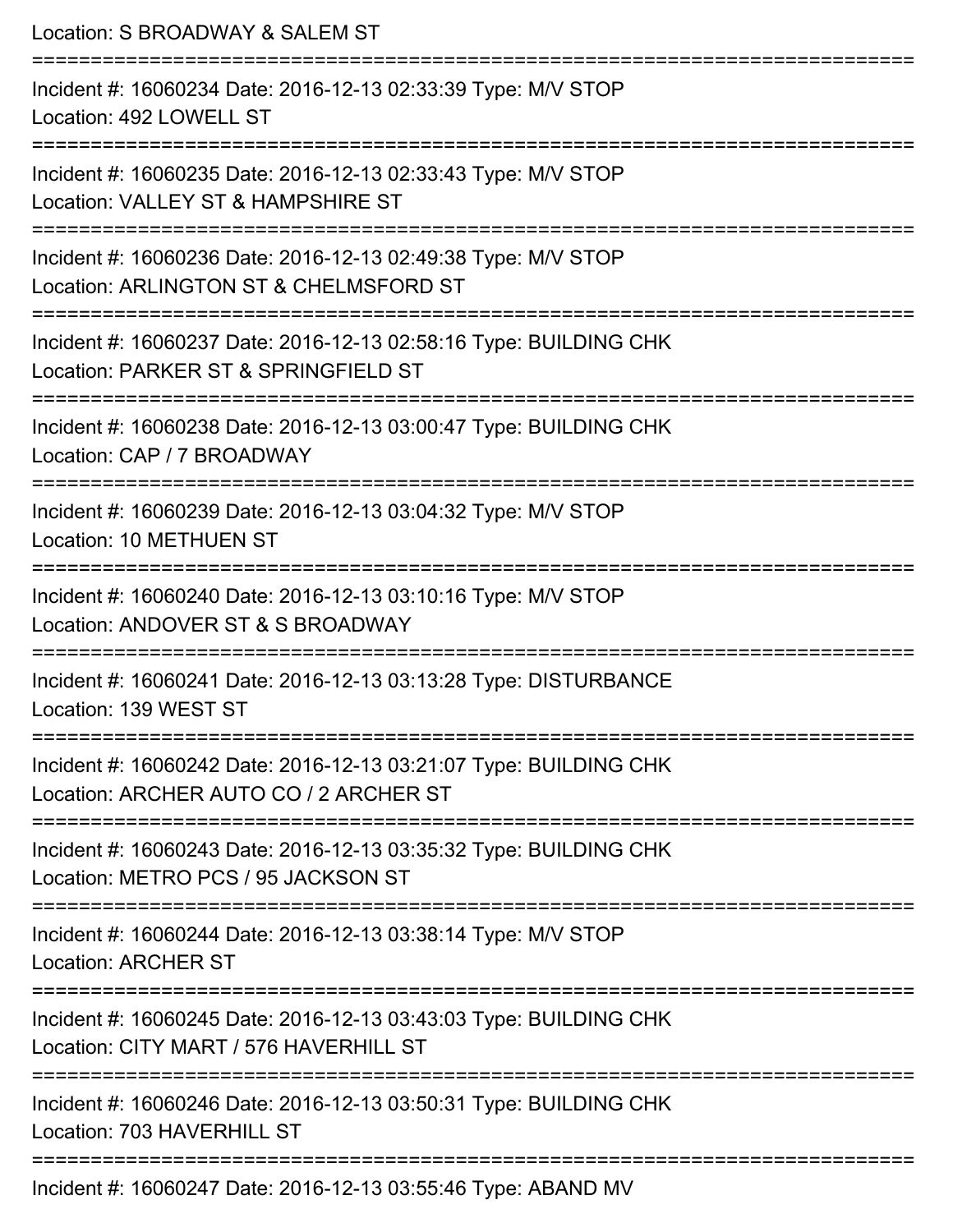Location: S BROADWAY & SALEM ST =========================================================================== Incident #: 16060234 Date: 2016-12-13 02:33:39 Type: M/V STOP Location: 492 LOWELL ST =========================================================================== Incident #: 16060235 Date: 2016-12-13 02:33:43 Type: M/V STOP Location: VALLEY ST & HAMPSHIRE ST =========================================================================== Incident #: 16060236 Date: 2016-12-13 02:49:38 Type: M/V STOP Location: ARLINGTON ST & CHELMSFORD ST =========================================================================== Incident #: 16060237 Date: 2016-12-13 02:58:16 Type: BUILDING CHK Location: PARKER ST & SPRINGFIELD ST =========================================================================== Incident #: 16060238 Date: 2016-12-13 03:00:47 Type: BUILDING CHK Location: CAP / 7 BROADWAY =========================================================================== Incident #: 16060239 Date: 2016-12-13 03:04:32 Type: M/V STOP Location: 10 METHUEN ST =========================================================================== Incident #: 16060240 Date: 2016-12-13 03:10:16 Type: M/V STOP Location: ANDOVER ST & S BROADWAY =========================================================================== Incident #: 16060241 Date: 2016-12-13 03:13:28 Type: DISTURBANCE Location: 139 WEST ST =========================================================================== Incident #: 16060242 Date: 2016-12-13 03:21:07 Type: BUILDING CHK Location: ARCHER AUTO CO / 2 ARCHER ST =========================================================================== Incident #: 16060243 Date: 2016-12-13 03:35:32 Type: BUILDING CHK Location: METRO PCS / 95 JACKSON ST =========================================================================== Incident #: 16060244 Date: 2016-12-13 03:38:14 Type: M/V STOP Location: ARCHER ST =========================================================================== Incident #: 16060245 Date: 2016-12-13 03:43:03 Type: BUILDING CHK Location: CITY MART / 576 HAVERHILL ST =========================================================================== Incident #: 16060246 Date: 2016-12-13 03:50:31 Type: BUILDING CHK Location: 703 HAVERHILL ST =========================================================================== Incident #: 16060247 Date: 2016-12-13 03:55:46 Type: ABAND MV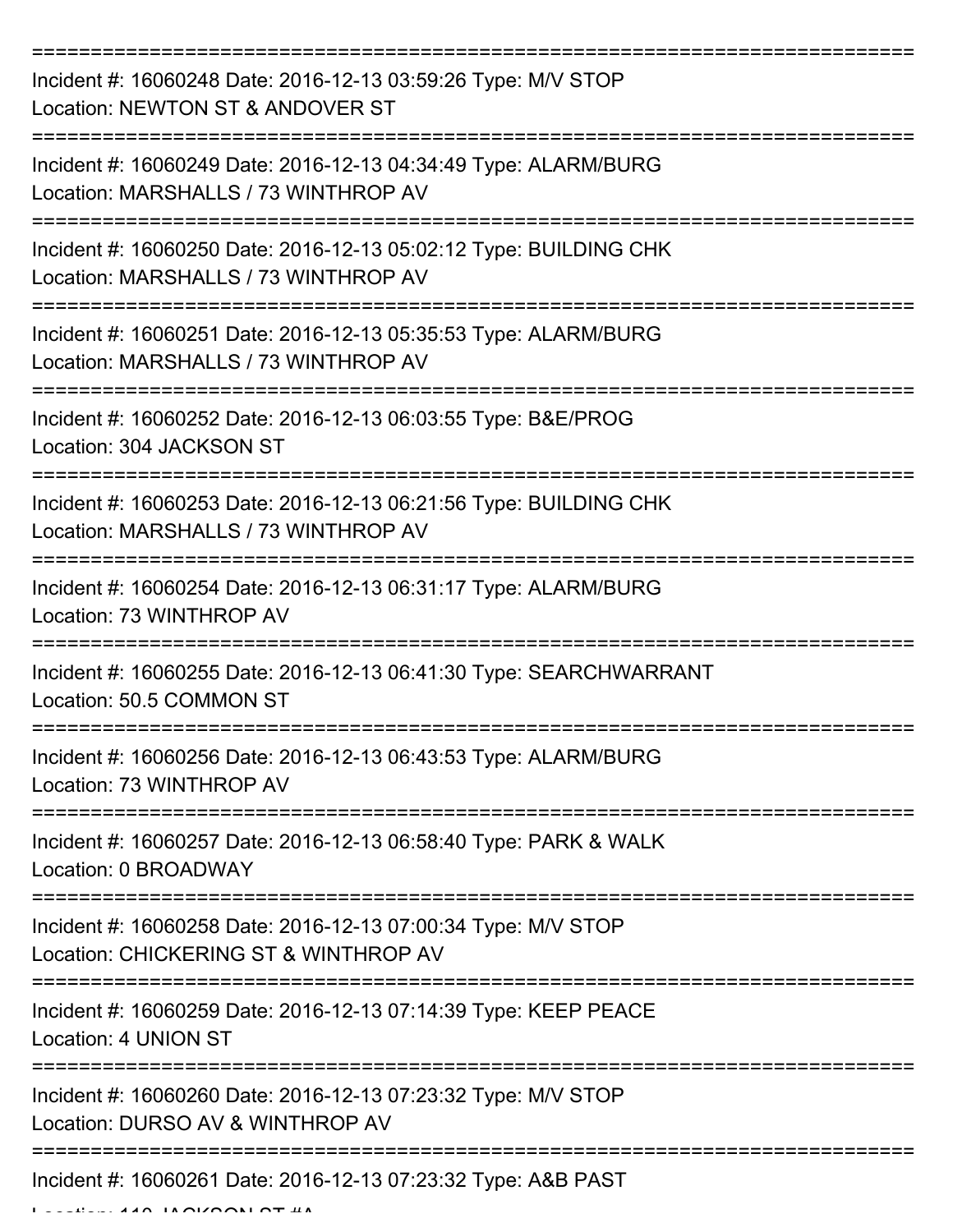| Incident #: 16060248 Date: 2016-12-13 03:59:26 Type: M/V STOP<br>Location: NEWTON ST & ANDOVER ST         |
|-----------------------------------------------------------------------------------------------------------|
| Incident #: 16060249 Date: 2016-12-13 04:34:49 Type: ALARM/BURG<br>Location: MARSHALLS / 73 WINTHROP AV   |
| Incident #: 16060250 Date: 2016-12-13 05:02:12 Type: BUILDING CHK<br>Location: MARSHALLS / 73 WINTHROP AV |
| Incident #: 16060251 Date: 2016-12-13 05:35:53 Type: ALARM/BURG<br>Location: MARSHALLS / 73 WINTHROP AV   |
| Incident #: 16060252 Date: 2016-12-13 06:03:55 Type: B&E/PROG<br>Location: 304 JACKSON ST                 |
| Incident #: 16060253 Date: 2016-12-13 06:21:56 Type: BUILDING CHK<br>Location: MARSHALLS / 73 WINTHROP AV |
| Incident #: 16060254 Date: 2016-12-13 06:31:17 Type: ALARM/BURG<br>Location: 73 WINTHROP AV               |
| Incident #: 16060255 Date: 2016-12-13 06:41:30 Type: SEARCHWARRANT<br>Location: 50.5 COMMON ST            |
| Incident #: 16060256 Date: 2016-12-13 06:43:53 Type: ALARM/BURG<br>Location: 73 WINTHROP AV               |
| Incident #: 16060257 Date: 2016-12-13 06:58:40 Type: PARK & WALK<br>Location: 0 BROADWAY                  |
| Incident #: 16060258 Date: 2016-12-13 07:00:34 Type: M/V STOP<br>Location: CHICKERING ST & WINTHROP AV    |
| Incident #: 16060259 Date: 2016-12-13 07:14:39 Type: KEEP PEACE<br>Location: 4 UNION ST                   |
| Incident #: 16060260 Date: 2016-12-13 07:23:32 Type: M/V STOP<br>Location: DURSO AV & WINTHROP AV         |
| Incident #: 16060261 Date: 2016-12-13 07:23:32 Type: A&B PAST                                             |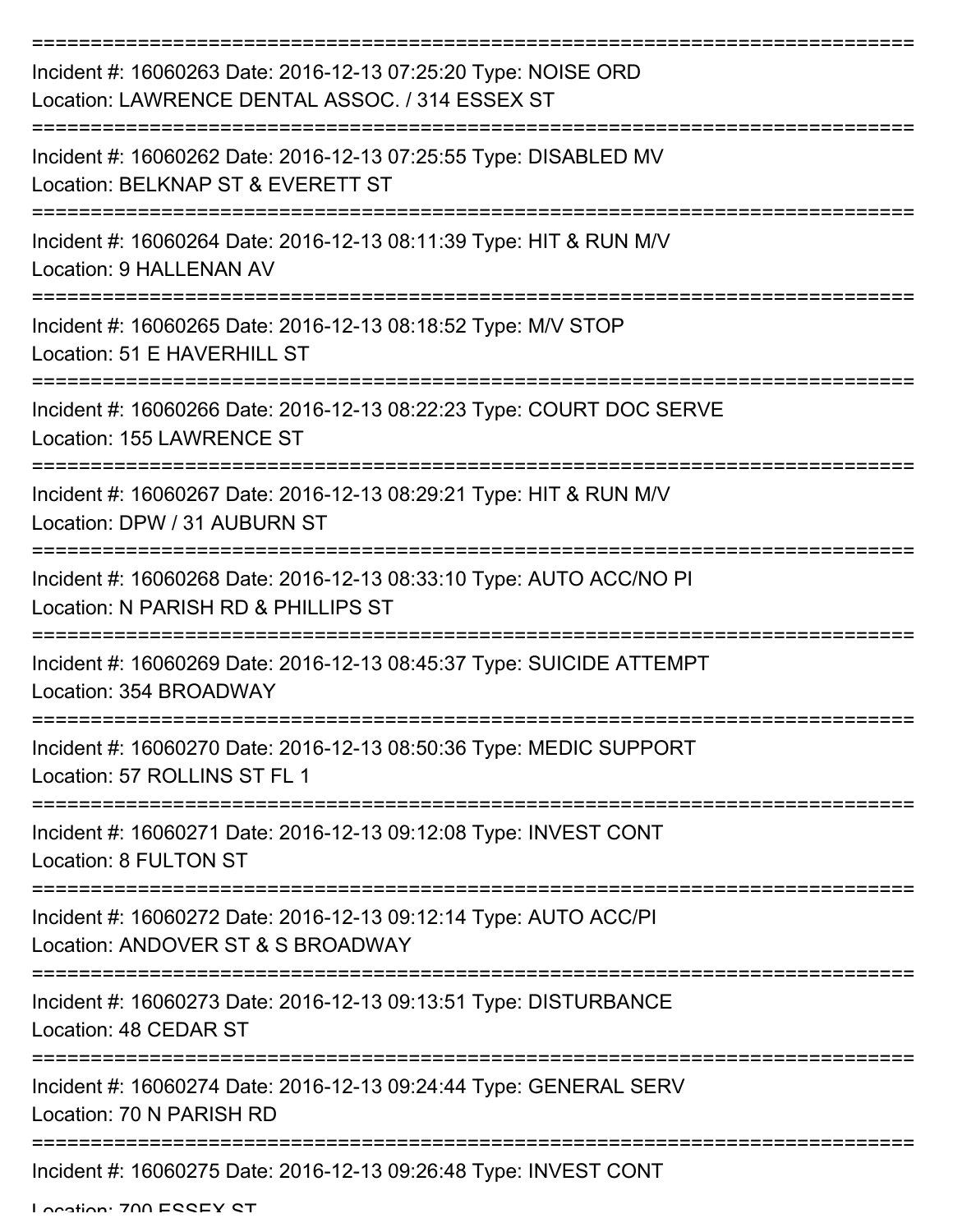| Incident #: 16060263 Date: 2016-12-13 07:25:20 Type: NOISE ORD<br>Location: LAWRENCE DENTAL ASSOC. / 314 ESSEX ST |
|-------------------------------------------------------------------------------------------------------------------|
| Incident #: 16060262 Date: 2016-12-13 07:25:55 Type: DISABLED MV<br>Location: BELKNAP ST & EVERETT ST             |
| Incident #: 16060264 Date: 2016-12-13 08:11:39 Type: HIT & RUN M/V<br><b>Location: 9 HALLENAN AV</b>              |
| Incident #: 16060265 Date: 2016-12-13 08:18:52 Type: M/V STOP<br>Location: 51 E HAVERHILL ST                      |
| Incident #: 16060266 Date: 2016-12-13 08:22:23 Type: COURT DOC SERVE<br>Location: 155 LAWRENCE ST                 |
| Incident #: 16060267 Date: 2016-12-13 08:29:21 Type: HIT & RUN M/V<br>Location: DPW / 31 AUBURN ST                |
| Incident #: 16060268 Date: 2016-12-13 08:33:10 Type: AUTO ACC/NO PI<br>Location: N PARISH RD & PHILLIPS ST        |
| Incident #: 16060269 Date: 2016-12-13 08:45:37 Type: SUICIDE ATTEMPT<br>Location: 354 BROADWAY                    |
| Incident #: 16060270 Date: 2016-12-13 08:50:36 Type: MEDIC SUPPORT<br>Location: 57 ROLLINS ST FL 1                |
| Incident #: 16060271 Date: 2016-12-13 09:12:08 Type: INVEST CONT<br>Location: 8 FULTON ST                         |
| Incident #: 16060272 Date: 2016-12-13 09:12:14 Type: AUTO ACC/PI<br>Location: ANDOVER ST & S BROADWAY             |
| Incident #: 16060273 Date: 2016-12-13 09:13:51 Type: DISTURBANCE<br>Location: 48 CEDAR ST                         |
| Incident #: 16060274 Date: 2016-12-13 09:24:44 Type: GENERAL SERV<br>Location: 70 N PARISH RD                     |
| Incident #: 16060275 Date: 2016-12-13 09:26:48 Type: INVEST CONT                                                  |

Location: 700 ESSEY ST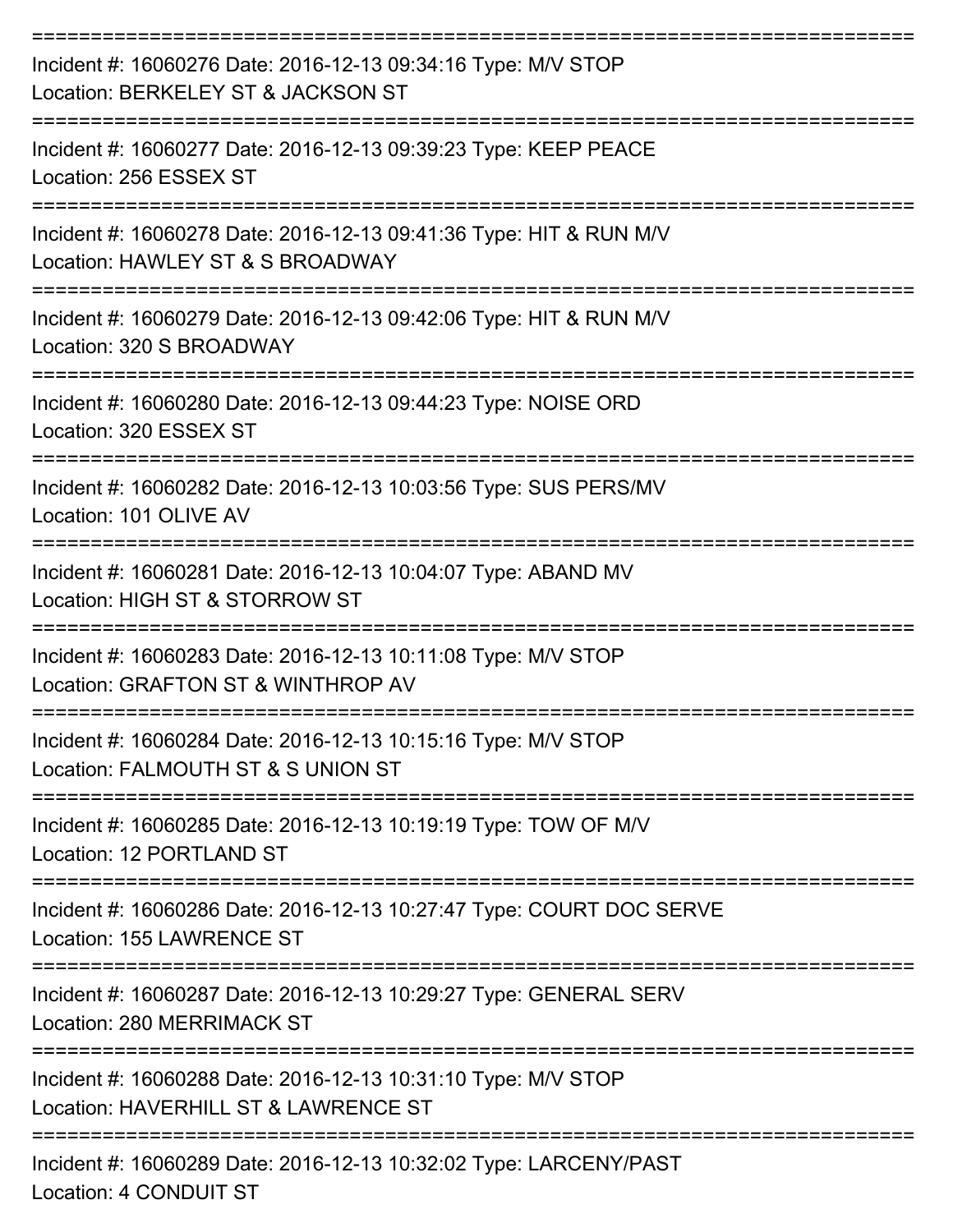| Incident #: 16060276 Date: 2016-12-13 09:34:16 Type: M/V STOP<br>Location: BERKELEY ST & JACKSON ST    |
|--------------------------------------------------------------------------------------------------------|
| Incident #: 16060277 Date: 2016-12-13 09:39:23 Type: KEEP PEACE<br>Location: 256 ESSEX ST              |
| Incident #: 16060278 Date: 2016-12-13 09:41:36 Type: HIT & RUN M/V<br>Location: HAWLEY ST & S BROADWAY |
| Incident #: 16060279 Date: 2016-12-13 09:42:06 Type: HIT & RUN M/V<br>Location: 320 S BROADWAY         |
| Incident #: 16060280 Date: 2016-12-13 09:44:23 Type: NOISE ORD<br>Location: 320 ESSEX ST               |
| Incident #: 16060282 Date: 2016-12-13 10:03:56 Type: SUS PERS/MV<br>Location: 101 OLIVE AV             |
| Incident #: 16060281 Date: 2016-12-13 10:04:07 Type: ABAND MV<br>Location: HIGH ST & STORROW ST        |
| Incident #: 16060283 Date: 2016-12-13 10:11:08 Type: M/V STOP<br>Location: GRAFTON ST & WINTHROP AV    |
| Incident #: 16060284 Date: 2016-12-13 10:15:16 Type: M/V STOP<br>Location: FALMOUTH ST & S UNION ST    |
| Incident #: 16060285 Date: 2016-12-13 10:19:19 Type: TOW OF M/V<br>Location: 12 PORTLAND ST            |
| Incident #: 16060286 Date: 2016-12-13 10:27:47 Type: COURT DOC SERVE<br>Location: 155 LAWRENCE ST      |
| Incident #: 16060287 Date: 2016-12-13 10:29:27 Type: GENERAL SERV<br>Location: 280 MERRIMACK ST        |
| Incident #: 16060288 Date: 2016-12-13 10:31:10 Type: M/V STOP<br>Location: HAVERHILL ST & LAWRENCE ST  |
| Incident #: 16060289 Date: 2016-12-13 10:32:02 Type: LARCENY/PAST                                      |

Location: 4 CONDUIT ST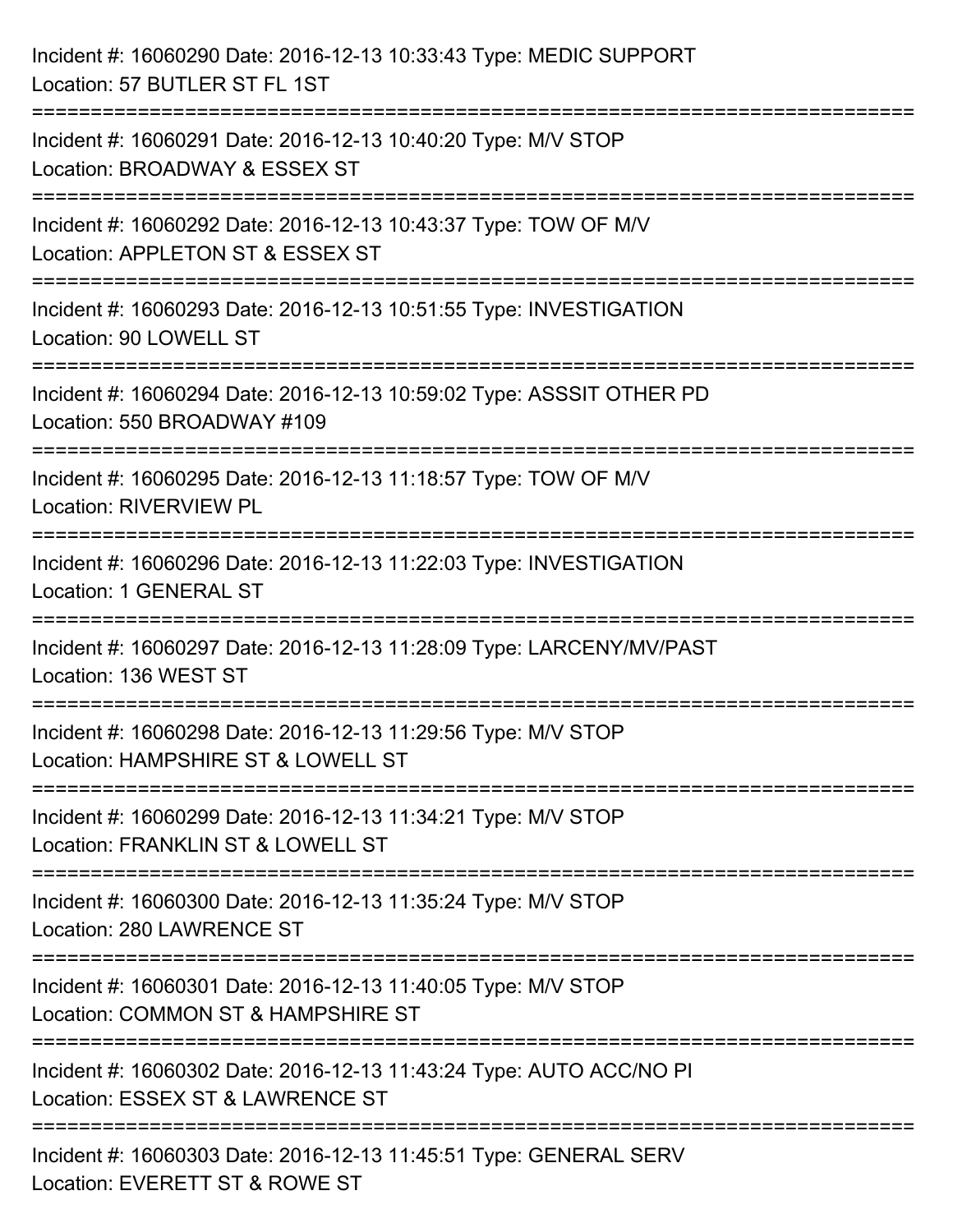| Incident #: 16060290 Date: 2016-12-13 10:33:43 Type: MEDIC SUPPORT<br>Location: 57 BUTLER ST FL 1ST                           |
|-------------------------------------------------------------------------------------------------------------------------------|
| ===========================<br>Incident #: 16060291 Date: 2016-12-13 10:40:20 Type: M/V STOP<br>Location: BROADWAY & ESSEX ST |
| Incident #: 16060292 Date: 2016-12-13 10:43:37 Type: TOW OF M/V<br>Location: APPLETON ST & ESSEX ST<br>==================     |
| Incident #: 16060293 Date: 2016-12-13 10:51:55 Type: INVESTIGATION<br>Location: 90 LOWELL ST                                  |
| Incident #: 16060294 Date: 2016-12-13 10:59:02 Type: ASSSIT OTHER PD<br>Location: 550 BROADWAY #109                           |
| Incident #: 16060295 Date: 2016-12-13 11:18:57 Type: TOW OF M/V<br><b>Location: RIVERVIEW PL</b>                              |
| Incident #: 16060296 Date: 2016-12-13 11:22:03 Type: INVESTIGATION<br>Location: 1 GENERAL ST                                  |
| Incident #: 16060297 Date: 2016-12-13 11:28:09 Type: LARCENY/MV/PAST<br>Location: 136 WEST ST                                 |
| Incident #: 16060298 Date: 2016-12-13 11:29:56 Type: M/V STOP<br>Location: HAMPSHIRE ST & LOWELL ST                           |
| Incident #: 16060299 Date: 2016-12-13 11:34:21 Type: M/V STOP<br>Location: FRANKLIN ST & LOWELL ST                            |
| Incident #: 16060300 Date: 2016-12-13 11:35:24 Type: M/V STOP<br>Location: 280 LAWRENCE ST                                    |
| Incident #: 16060301 Date: 2016-12-13 11:40:05 Type: M/V STOP<br>Location: COMMON ST & HAMPSHIRE ST                           |
| Incident #: 16060302 Date: 2016-12-13 11:43:24 Type: AUTO ACC/NO PI<br>Location: ESSEX ST & LAWRENCE ST                       |
| Incident #: 16060303 Date: 2016-12-13 11:45:51 Type: GENERAL SERV<br>Location: EVERETT ST & ROWE ST                           |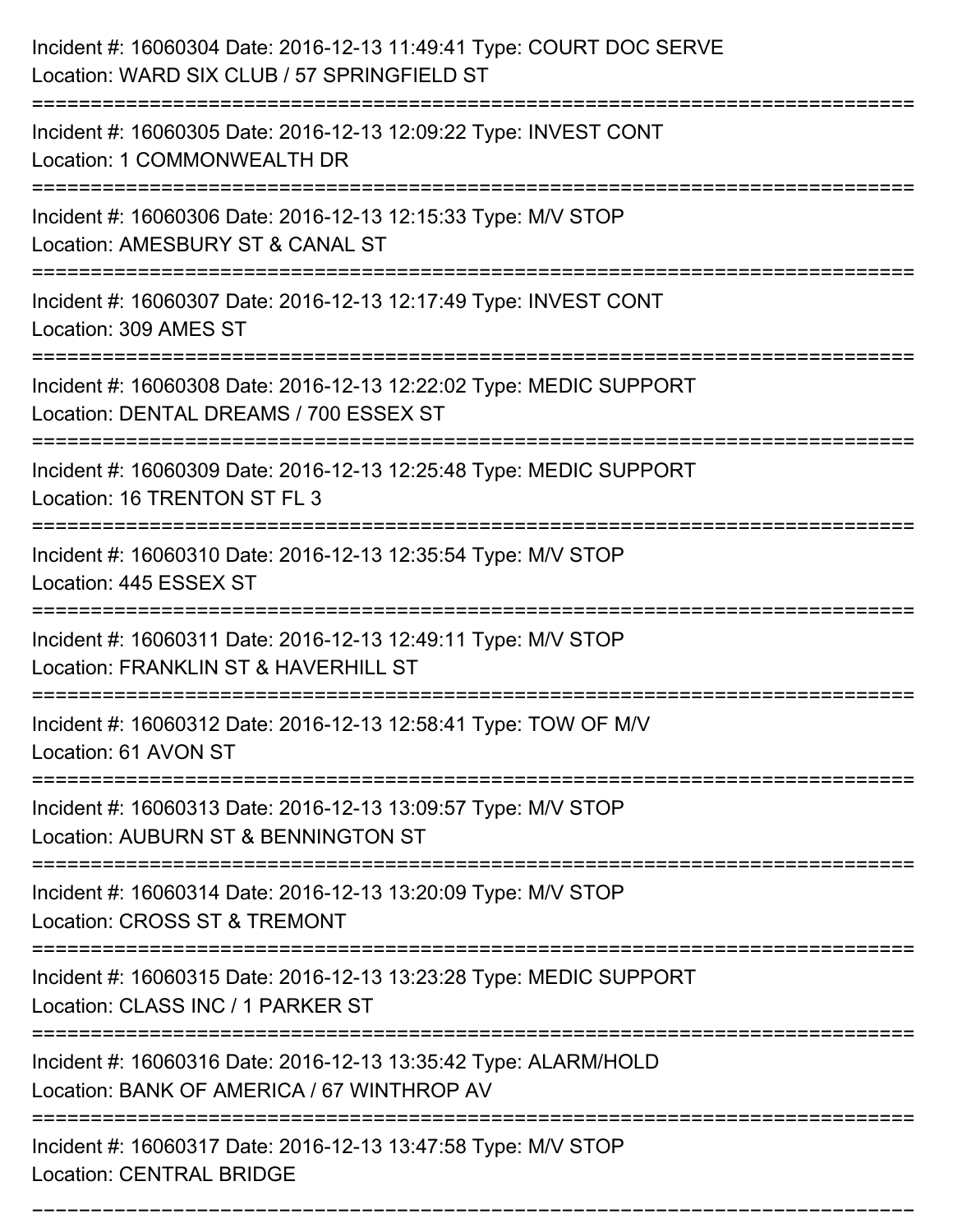| Incident #: 16060304 Date: 2016-12-13 11:49:41 Type: COURT DOC SERVE<br>Location: WARD SIX CLUB / 57 SPRINGFIELD ST                         |
|---------------------------------------------------------------------------------------------------------------------------------------------|
| Incident #: 16060305 Date: 2016-12-13 12:09:22 Type: INVEST CONT<br>Location: 1 COMMONWEALTH DR                                             |
| Incident #: 16060306 Date: 2016-12-13 12:15:33 Type: M/V STOP<br>Location: AMESBURY ST & CANAL ST                                           |
| Incident #: 16060307 Date: 2016-12-13 12:17:49 Type: INVEST CONT<br>Location: 309 AMES ST                                                   |
| Incident #: 16060308 Date: 2016-12-13 12:22:02 Type: MEDIC SUPPORT<br>Location: DENTAL DREAMS / 700 ESSEX ST                                |
| Incident #: 16060309 Date: 2016-12-13 12:25:48 Type: MEDIC SUPPORT<br>Location: 16 TRENTON ST FL 3                                          |
| Incident #: 16060310 Date: 2016-12-13 12:35:54 Type: M/V STOP<br>Location: 445 ESSEX ST                                                     |
| Incident #: 16060311 Date: 2016-12-13 12:49:11 Type: M/V STOP<br>Location: FRANKLIN ST & HAVERHILL ST                                       |
| Incident #: 16060312 Date: 2016-12-13 12:58:41 Type: TOW OF M/V<br>Location: 61 AVON ST                                                     |
| Incident #: 16060313 Date: 2016-12-13 13:09:57 Type: M/V STOP<br>Location: AUBURN ST & BENNINGTON ST<br>:================================== |
| Incident #: 16060314 Date: 2016-12-13 13:20:09 Type: M/V STOP<br>Location: CROSS ST & TREMONT                                               |
| Incident #: 16060315 Date: 2016-12-13 13:23:28 Type: MEDIC SUPPORT<br>Location: CLASS INC / 1 PARKER ST                                     |
| Incident #: 16060316 Date: 2016-12-13 13:35:42 Type: ALARM/HOLD<br>Location: BANK OF AMERICA / 67 WINTHROP AV                               |
| Incident #: 16060317 Date: 2016-12-13 13:47:58 Type: M/V STOP<br><b>Location: CENTRAL BRIDGE</b>                                            |

===========================================================================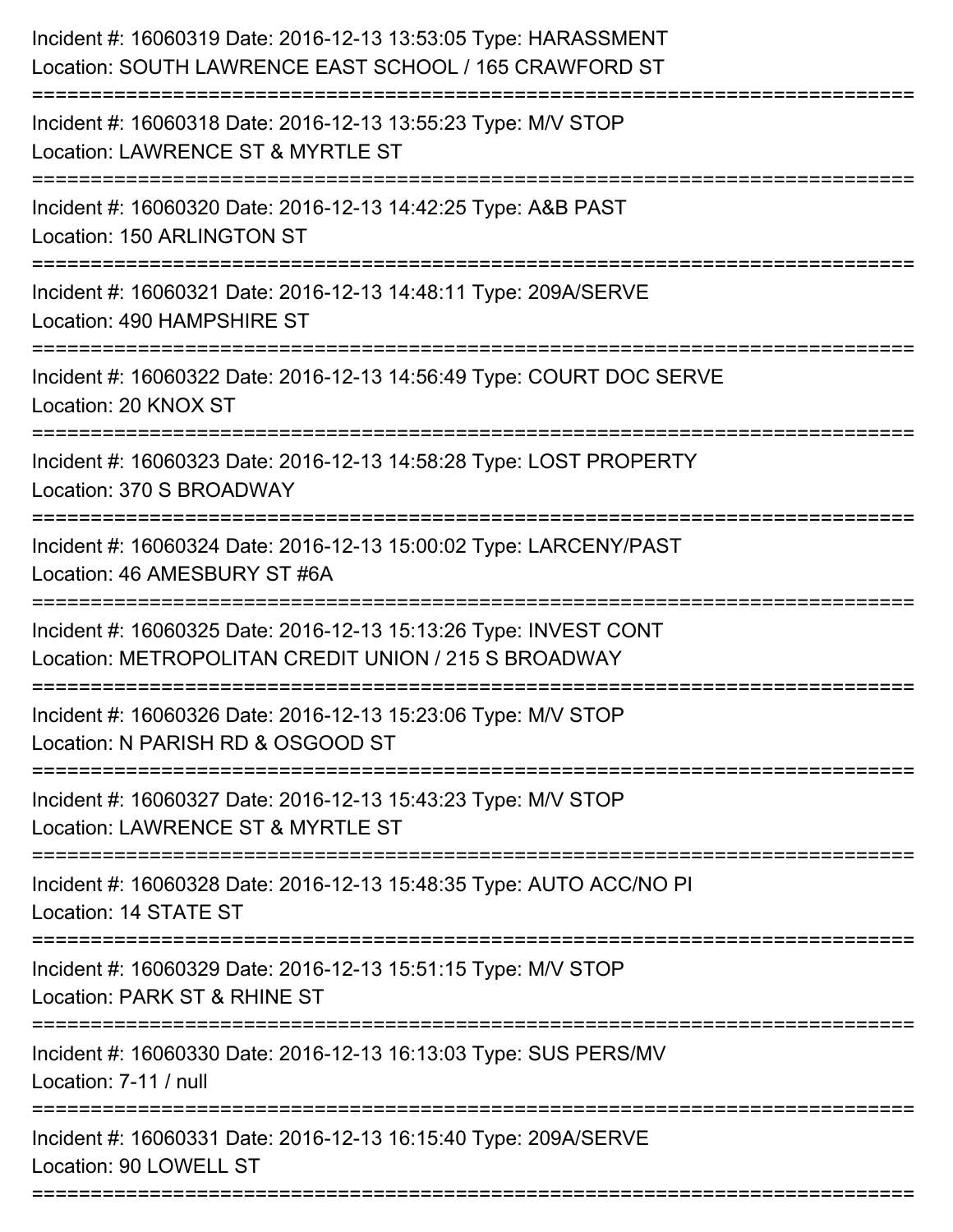| Incident #: 16060319 Date: 2016-12-13 13:53:05 Type: HARASSMENT<br>Location: SOUTH LAWRENCE EAST SCHOOL / 165 CRAWFORD ST |
|---------------------------------------------------------------------------------------------------------------------------|
| Incident #: 16060318 Date: 2016-12-13 13:55:23 Type: M/V STOP<br>Location: LAWRENCE ST & MYRTLE ST                        |
| Incident #: 16060320 Date: 2016-12-13 14:42:25 Type: A&B PAST<br>Location: 150 ARLINGTON ST                               |
| Incident #: 16060321 Date: 2016-12-13 14:48:11 Type: 209A/SERVE<br>Location: 490 HAMPSHIRE ST                             |
| Incident #: 16060322 Date: 2016-12-13 14:56:49 Type: COURT DOC SERVE<br>Location: 20 KNOX ST                              |
| Incident #: 16060323 Date: 2016-12-13 14:58:28 Type: LOST PROPERTY<br>Location: 370 S BROADWAY                            |
| Incident #: 16060324 Date: 2016-12-13 15:00:02 Type: LARCENY/PAST<br>Location: 46 AMESBURY ST #6A                         |
| Incident #: 16060325 Date: 2016-12-13 15:13:26 Type: INVEST CONT<br>Location: METROPOLITAN CREDIT UNION / 215 S BROADWAY  |
| Incident #: 16060326 Date: 2016-12-13 15:23:06 Type: M/V STOP<br>Location: N PARISH RD & OSGOOD ST                        |
| Incident #: 16060327 Date: 2016-12-13 15:43:23 Type: M/V STOP<br>Location: LAWRENCE ST & MYRTLE ST                        |
| Incident #: 16060328 Date: 2016-12-13 15:48:35 Type: AUTO ACC/NO PI<br>Location: 14 STATE ST                              |
| Incident #: 16060329 Date: 2016-12-13 15:51:15 Type: M/V STOP<br>Location: PARK ST & RHINE ST                             |
| Incident #: 16060330 Date: 2016-12-13 16:13:03 Type: SUS PERS/MV<br>Location: 7-11 / null                                 |
| Incident #: 16060331 Date: 2016-12-13 16:15:40 Type: 209A/SERVE<br>Location: 90 LOWELL ST                                 |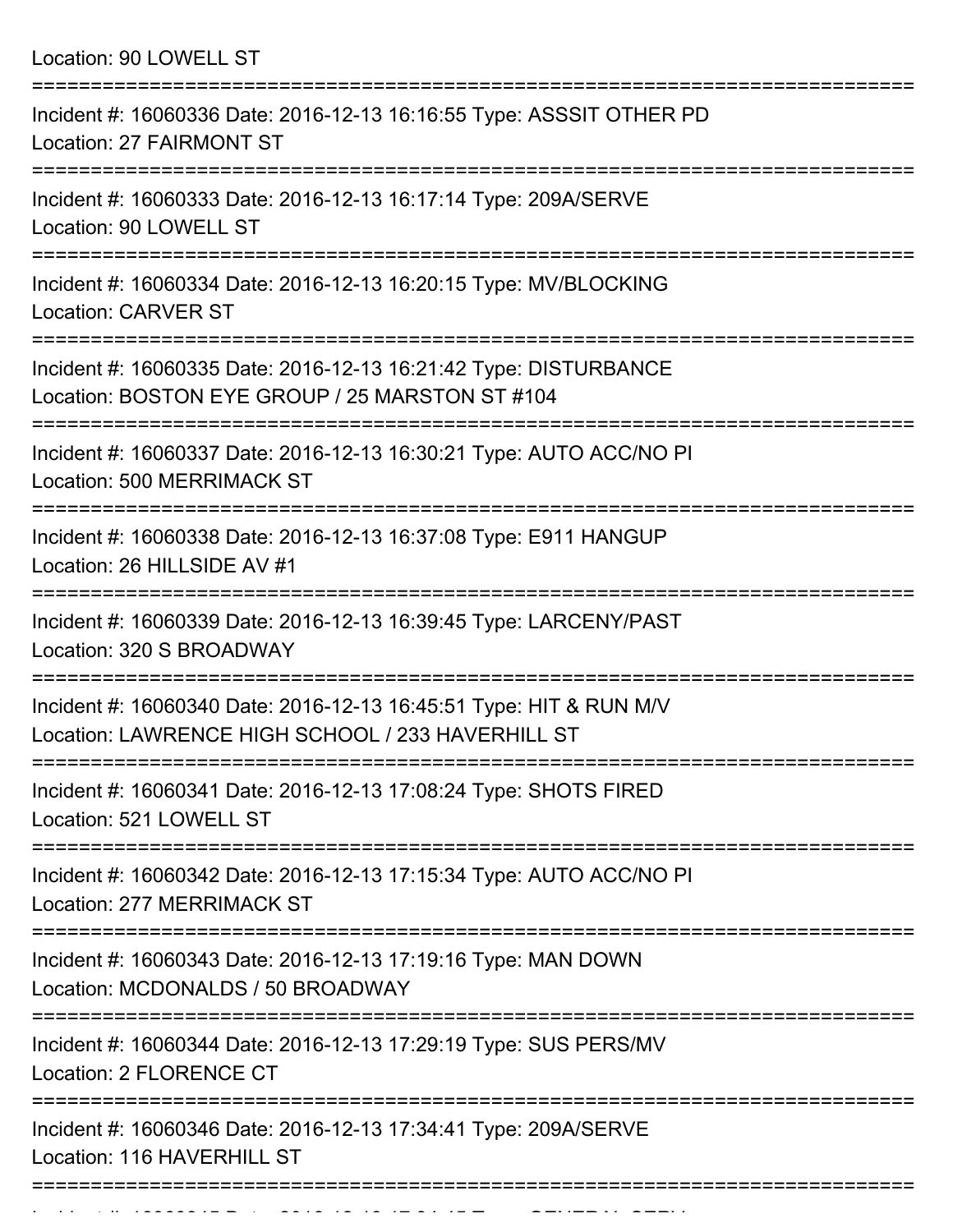Location: 90 LOWELL ST

| Incident #: 16060336 Date: 2016-12-13 16:16:55 Type: ASSSIT OTHER PD<br>Location: 27 FAIRMONT ST                                       |
|----------------------------------------------------------------------------------------------------------------------------------------|
| Incident #: 16060333 Date: 2016-12-13 16:17:14 Type: 209A/SERVE<br>Location: 90 LOWELL ST                                              |
| Incident #: 16060334 Date: 2016-12-13 16:20:15 Type: MV/BLOCKING<br><b>Location: CARVER ST</b>                                         |
| Incident #: 16060335 Date: 2016-12-13 16:21:42 Type: DISTURBANCE<br>Location: BOSTON EYE GROUP / 25 MARSTON ST #104                    |
| Incident #: 16060337 Date: 2016-12-13 16:30:21 Type: AUTO ACC/NO PI<br><b>Location: 500 MERRIMACK ST</b>                               |
| Incident #: 16060338 Date: 2016-12-13 16:37:08 Type: E911 HANGUP<br>Location: 26 HILLSIDE AV #1                                        |
| Incident #: 16060339 Date: 2016-12-13 16:39:45 Type: LARCENY/PAST<br>Location: 320 S BROADWAY                                          |
| Incident #: 16060340 Date: 2016-12-13 16:45:51 Type: HIT & RUN M/V<br>Location: LAWRENCE HIGH SCHOOL / 233 HAVERHILL ST                |
| Incident #: 16060341 Date: 2016-12-13 17:08:24 Type: SHOTS FIRED<br>Location: 521 LOWELL ST                                            |
| Incident #: 16060342 Date: 2016-12-13 17:15:34 Type: AUTO ACC/NO PI<br>Location: 277 MERRIMACK ST                                      |
| Incident #: 16060343 Date: 2016-12-13 17:19:16 Type: MAN DOWN<br>Location: MCDONALDS / 50 BROADWAY                                     |
| Incident #: 16060344 Date: 2016-12-13 17:29:19 Type: SUS PERS/MV<br>Location: 2 FLORENCE CT                                            |
| Incident #: 16060346 Date: 2016-12-13 17:34:41 Type: 209A/SERVE<br>Location: 116 HAVERHILL ST<br>------------------------------------- |
|                                                                                                                                        |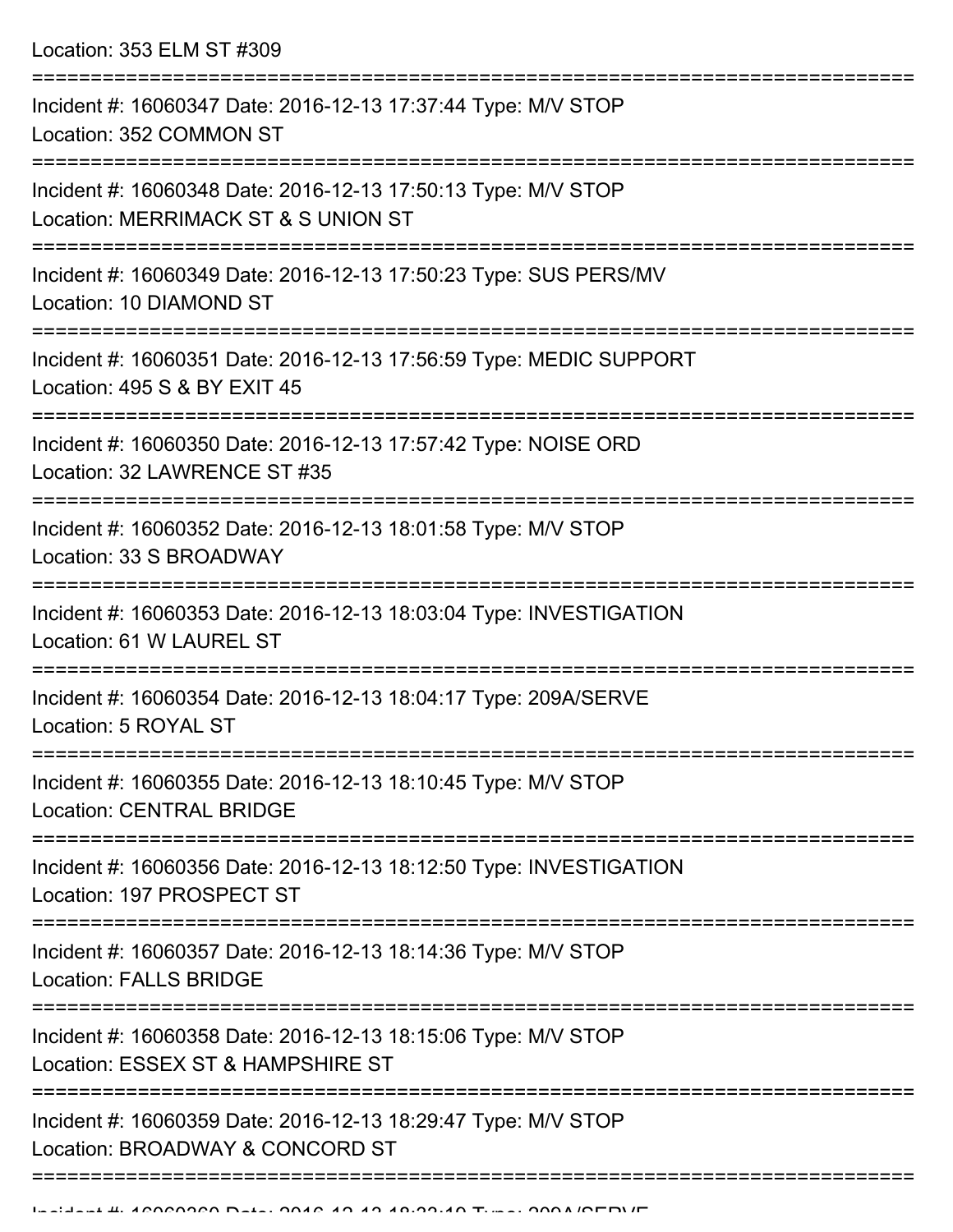Location: 353 ELM ST #309

| Incident #: 16060347 Date: 2016-12-13 17:37:44 Type: M/V STOP<br>Location: 352 COMMON ST                       |
|----------------------------------------------------------------------------------------------------------------|
| Incident #: 16060348 Date: 2016-12-13 17:50:13 Type: M/V STOP<br>Location: MERRIMACK ST & S UNION ST           |
| Incident #: 16060349 Date: 2016-12-13 17:50:23 Type: SUS PERS/MV<br>Location: 10 DIAMOND ST                    |
| Incident #: 16060351 Date: 2016-12-13 17:56:59 Type: MEDIC SUPPORT<br>Location: 495 S & BY EXIT 45             |
| Incident #: 16060350 Date: 2016-12-13 17:57:42 Type: NOISE ORD<br>Location: 32 LAWRENCE ST #35                 |
| Incident #: 16060352 Date: 2016-12-13 18:01:58 Type: M/V STOP<br>Location: 33 S BROADWAY                       |
| Incident #: 16060353 Date: 2016-12-13 18:03:04 Type: INVESTIGATION<br>Location: 61 W LAUREL ST                 |
| Incident #: 16060354 Date: 2016-12-13 18:04:17 Type: 209A/SERVE<br>Location: 5 ROYAL ST                        |
| Incident #: 16060355 Date: 2016-12-13 18:10:45 Type: M/V STOP<br><b>Location: CENTRAL BRIDGE</b>               |
| -----------<br>Incident #: 16060356 Date: 2016-12-13 18:12:50 Type: INVESTIGATION<br>Location: 197 PROSPECT ST |
| Incident #: 16060357 Date: 2016-12-13 18:14:36 Type: M/V STOP<br><b>Location: FALLS BRIDGE</b>                 |
| Incident #: 16060358 Date: 2016-12-13 18:15:06 Type: M/V STOP<br>Location: ESSEX ST & HAMPSHIRE ST             |
| Incident #: 16060359 Date: 2016-12-13 18:29:47 Type: M/V STOP<br>Location: BROADWAY & CONCORD ST               |
|                                                                                                                |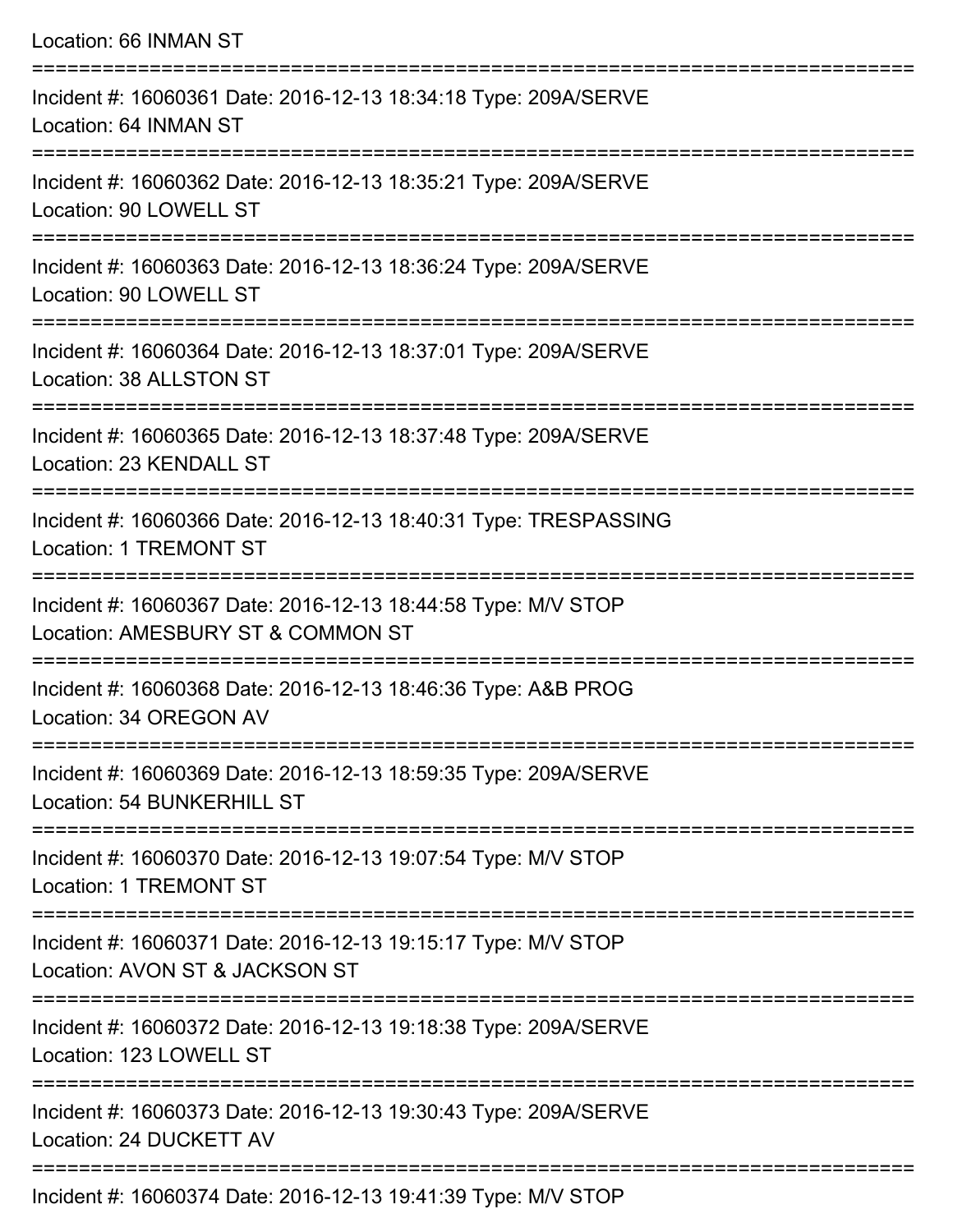| Location: 66 INMAN ST                                                                                                               |
|-------------------------------------------------------------------------------------------------------------------------------------|
| Incident #: 16060361 Date: 2016-12-13 18:34:18 Type: 209A/SERVE<br>Location: 64 INMAN ST<br>----------------------                  |
| Incident #: 16060362 Date: 2016-12-13 18:35:21 Type: 209A/SERVE<br>Location: 90 LOWELL ST                                           |
| Incident #: 16060363 Date: 2016-12-13 18:36:24 Type: 209A/SERVE<br>Location: 90 LOWELL ST                                           |
| :====================================<br>Incident #: 16060364 Date: 2016-12-13 18:37:01 Type: 209A/SERVE<br>Location: 38 ALLSTON ST |
| Incident #: 16060365 Date: 2016-12-13 18:37:48 Type: 209A/SERVE<br>Location: 23 KENDALL ST                                          |
| Incident #: 16060366 Date: 2016-12-13 18:40:31 Type: TRESPASSING<br><b>Location: 1 TREMONT ST</b>                                   |
| Incident #: 16060367 Date: 2016-12-13 18:44:58 Type: M/V STOP<br>Location: AMESBURY ST & COMMON ST                                  |
| Incident #: 16060368 Date: 2016-12-13 18:46:36 Type: A&B PROG<br>Location: 34 OREGON AV                                             |
| Incident #: 16060369 Date: 2016-12-13 18:59:35 Type: 209A/SERVE<br>Location: 54 BUNKERHILL ST                                       |
| Incident #: 16060370 Date: 2016-12-13 19:07:54 Type: M/V STOP<br><b>Location: 1 TREMONT ST</b>                                      |
| Incident #: 16060371 Date: 2016-12-13 19:15:17 Type: M/V STOP<br>Location: AVON ST & JACKSON ST                                     |
| Incident #: 16060372 Date: 2016-12-13 19:18:38 Type: 209A/SERVE<br>Location: 123 LOWELL ST                                          |
| Incident #: 16060373 Date: 2016-12-13 19:30:43 Type: 209A/SERVE<br>Location: 24 DUCKETT AV                                          |
|                                                                                                                                     |

Incident #: 16060374 Date: 2016-12-13 19:41:39 Type: M/V STOP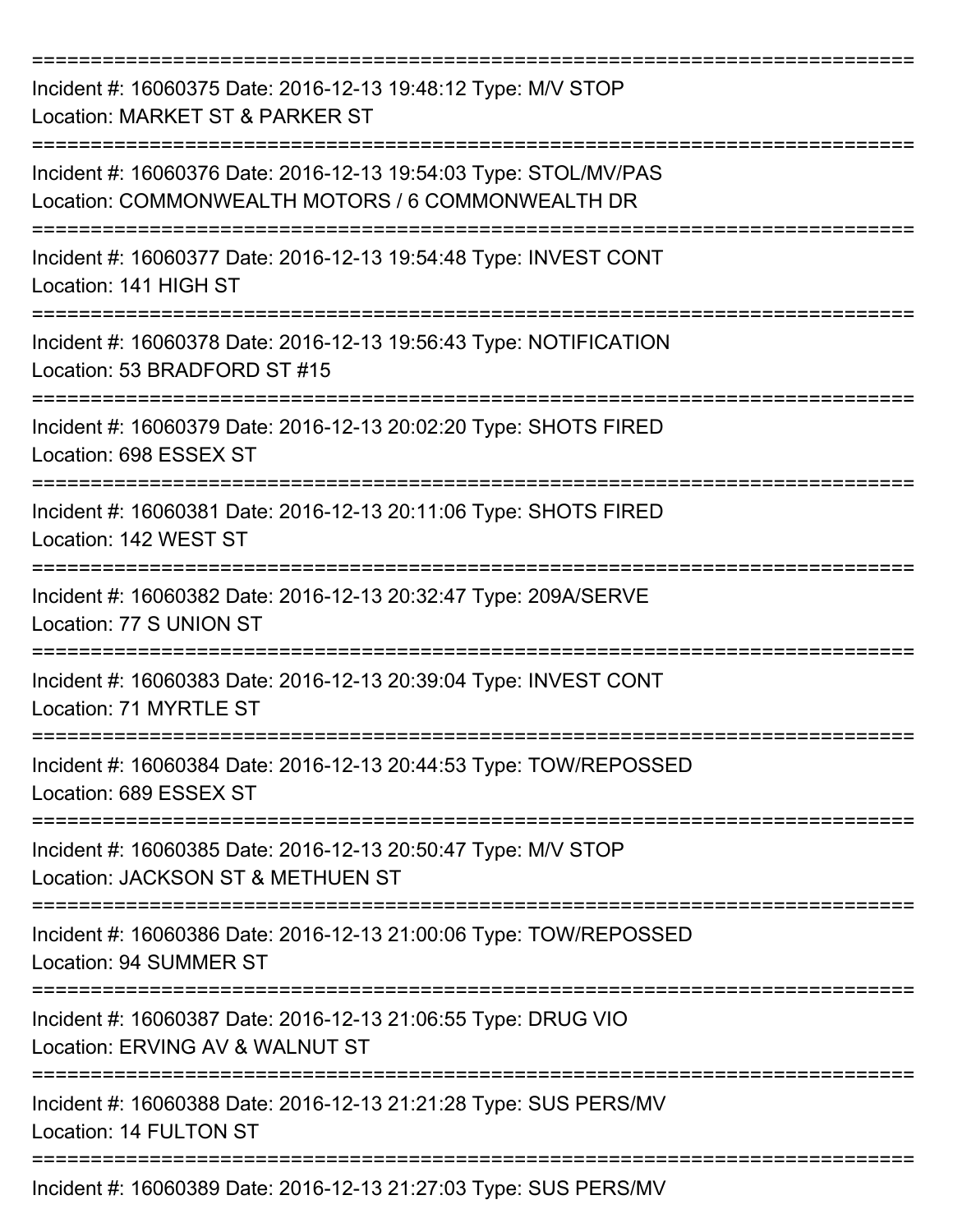| Incident #: 16060375 Date: 2016-12-13 19:48:12 Type: M/V STOP<br>Location: MARKET ST & PARKER ST                      |
|-----------------------------------------------------------------------------------------------------------------------|
| Incident #: 16060376 Date: 2016-12-13 19:54:03 Type: STOL/MV/PAS<br>Location: COMMONWEALTH MOTORS / 6 COMMONWEALTH DR |
| Incident #: 16060377 Date: 2016-12-13 19:54:48 Type: INVEST CONT<br>Location: 141 HIGH ST                             |
| Incident #: 16060378 Date: 2016-12-13 19:56:43 Type: NOTIFICATION<br>Location: 53 BRADFORD ST #15                     |
| Incident #: 16060379 Date: 2016-12-13 20:02:20 Type: SHOTS FIRED<br>Location: 698 ESSEX ST                            |
| Incident #: 16060381 Date: 2016-12-13 20:11:06 Type: SHOTS FIRED<br>Location: 142 WEST ST                             |
| Incident #: 16060382 Date: 2016-12-13 20:32:47 Type: 209A/SERVE<br>Location: 77 S UNION ST                            |
| ===========<br>Incident #: 16060383 Date: 2016-12-13 20:39:04 Type: INVEST CONT<br>Location: 71 MYRTLE ST             |
| Incident #: 16060384 Date: 2016-12-13 20:44:53 Type: TOW/REPOSSED<br>Location: 689 ESSEX ST                           |
| Incident #: 16060385 Date: 2016-12-13 20:50:47 Type: M/V STOP<br>Location: JACKSON ST & METHUEN ST                    |
| Incident #: 16060386 Date: 2016-12-13 21:00:06 Type: TOW/REPOSSED<br>Location: 94 SUMMER ST                           |
| Incident #: 16060387 Date: 2016-12-13 21:06:55 Type: DRUG VIO<br>Location: ERVING AV & WALNUT ST                      |
| Incident #: 16060388 Date: 2016-12-13 21:21:28 Type: SUS PERS/MV<br>Location: 14 FULTON ST                            |
| Incident #: 16060389 Date: 2016-12-13 21:27:03 Type: SUS PERS/MV                                                      |